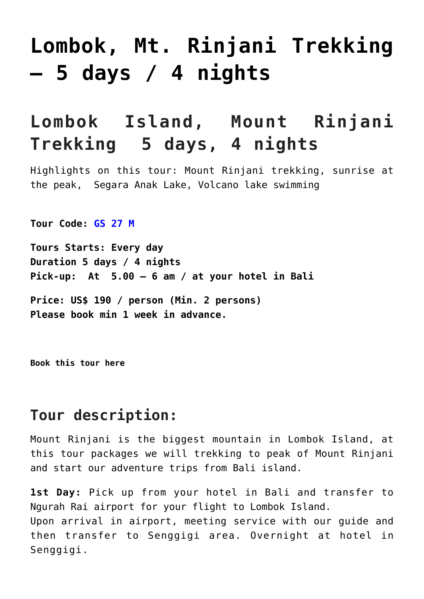# **[Lombok, Mt. Rinjani Trekking](http://griyasari.com/listings/lombok-mt-rinjani-trekking-5-days-4-nights/) [– 5 days / 4 nights](http://griyasari.com/listings/lombok-mt-rinjani-trekking-5-days-4-nights/)**

## **Lombok Island, Mount Rinjani Trekking 5 days, 4 nights**

Highlights on this tour: Mount Rinjani trekking, sunrise at the peak, Segara Anak Lake, Volcano lake swimming

**Tour Code: GS 27 M**

**Tours Starts: Every day Duration 5 days / 4 nights Pick-up: At 5.00 – 6 am / at your hotel in Bali**

**Price: US\$ 190 / person (Min. 2 persons) Please book min 1 week in advance.**

**[Book this tour here](http://griyasari.com/tour-booking)**

## **Tour description:**

Mount Rinjani is the biggest mountain in Lombok Island, at this tour packages we will trekking to peak of Mount Rinjani and start our adventure trips from Bali island.

**1st Day:** Pick up from your hotel in Bali and transfer to Ngurah Rai airport for your flight to Lombok Island. Upon arrival in airport, meeting service with our guide and then transfer to Senggigi area. Overnight at hotel in Senggigi.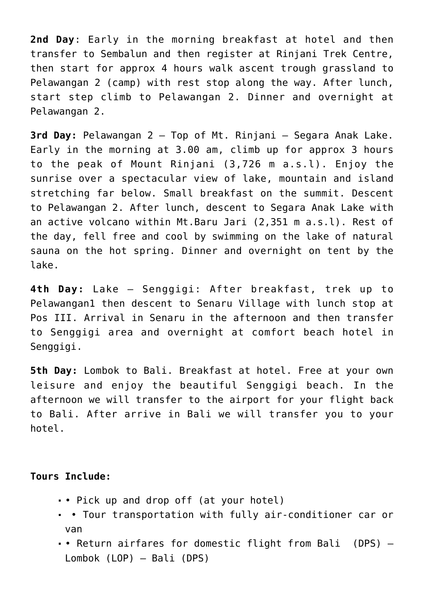**2nd Day**: Early in the morning breakfast at hotel and then transfer to Sembalun and then register at Rinjani Trek Centre, then start for approx 4 hours walk ascent trough grassland to Pelawangan 2 (camp) with rest stop along the way. After lunch, start step climb to Pelawangan 2. Dinner and overnight at Pelawangan 2.

**3rd Day:** Pelawangan 2 – Top of Mt. Rinjani – Segara Anak Lake. Early in the morning at 3.00 am, climb up for approx 3 hours to the peak of Mount Rinjani (3,726 m a.s.l). Enjoy the sunrise over a spectacular view of lake, mountain and island stretching far below. Small breakfast on the summit. Descent to Pelawangan 2. After lunch, descent to Segara Anak Lake with an active volcano within Mt.Baru Jari (2,351 m a.s.l). Rest of the day, fell free and cool by swimming on the lake of natural sauna on the hot spring. Dinner and overnight on tent by the lake.

**4th Day:** Lake – Senggigi: After breakfast, trek up to Pelawangan1 then descent to Senaru Village with lunch stop at Pos III. Arrival in Senaru in the afternoon and then transfer to Senggigi area and overnight at comfort beach hotel in Senggigi.

**5th Day:** Lombok to Bali. Breakfast at hotel. Free at your own leisure and enjoy the beautiful Senggigi beach. In the afternoon we will transfer to the airport for your flight back to Bali. After arrive in Bali we will transfer you to your hotel.

#### **Tours Include:**

- Pick up and drop off (at your hotel)
- Tour transportation with fully air-conditioner car or van
- Return airfares for domestic flight from Bali (DPS) Lombok (LOP) – Bali (DPS)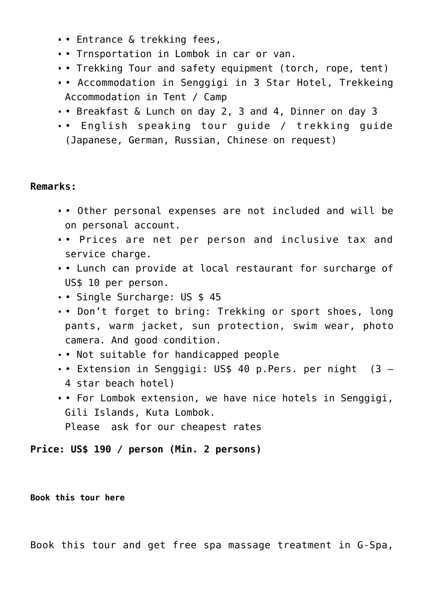- Entrance & trekking fees,
- Trnsportation in Lombok in car or van.
- Trekking Tour and safety equipment (torch, rope, tent)
- Accommodation in Senggigi in 3 Star Hotel, Trekkeing Accommodation in Tent / Camp
- Breakfast & Lunch on day 2, 3 and 4, Dinner on day 3
- English speaking tour guide / trekking guide (Japanese, German, Russian, Chinese on request)

#### **Remarks:**

- Other personal expenses are not included and will be on personal account.
- Prices are net per person and inclusive tax and service charge.
- Lunch can provide at local restaurant for surcharge of US\$ 10 per person.
- Single Surcharge: US \$ 45
- Don't forget to bring: Trekking or sport shoes, long pants, warm jacket, sun protection, swim wear, photo camera. And good condition.
- Not suitable for handicapped people
- Extension in Senggigi: US\$ 40 p.Pers. per night (3 4 star beach hotel)
- For Lombok extension, we have nice hotels in Senggigi, Gili Islands, Kuta Lombok. Please ask for our cheapest rates

**Price: US\$ 190 / person (Min. 2 persons)**

**[Book this tour here](http://griyasari.com/tour-booking)**

Book this tour and get free spa massage treatment in G-Spa,